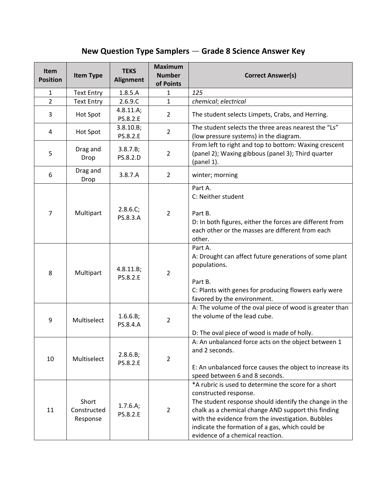## **New Question Type Samplers — Grade 8 Science Answer Key**

| <b>Item</b><br><b>Position</b> | <b>Item Type</b>                 | <b>TEKS</b><br><b>Alignment</b> | <b>Maximum</b><br><b>Number</b><br>of Points | <b>Correct Answer(s)</b>                                                                                                                                                                                                                                                                                                                   |
|--------------------------------|----------------------------------|---------------------------------|----------------------------------------------|--------------------------------------------------------------------------------------------------------------------------------------------------------------------------------------------------------------------------------------------------------------------------------------------------------------------------------------------|
| $\mathbf{1}$                   | <b>Text Entry</b>                | 1.8.5.A                         | 1                                            | 125                                                                                                                                                                                                                                                                                                                                        |
| $\overline{2}$                 | <b>Text Entry</b>                | 2.6.9.C                         | $\mathbf{1}$                                 | chemical; electrical                                                                                                                                                                                                                                                                                                                       |
| 3                              | Hot Spot                         | 4.8.11.A;<br>PS.8.2.E           | $\overline{2}$                               | The student selects Limpets, Crabs, and Herring.                                                                                                                                                                                                                                                                                           |
| 4                              | Hot Spot                         | 3.8.10.B;<br>PS.8.2.E           | $\overline{2}$                               | The student selects the three areas nearest the "Ls"<br>(low pressure systems) in the diagram.                                                                                                                                                                                                                                             |
| 5                              | Drag and<br>Drop                 | 3.8.7.B;<br>PS.8.2.D            | $\overline{2}$                               | From left to right and top to bottom: Waxing crescent<br>(panel 2); Waxing gibbous (panel 3); Third quarter<br>(panel 1).                                                                                                                                                                                                                  |
| 6                              | Drag and<br>Drop                 | 3.8.7.A                         | $\overline{2}$                               | winter; morning                                                                                                                                                                                                                                                                                                                            |
| $\overline{7}$                 | Multipart                        | 2.8.6.C;<br>PS.8.3.A            | $\overline{2}$                               | Part A.<br>C: Neither student<br>Part B.<br>D: In both figures, either the forces are different from<br>each other or the masses are different from each<br>other.                                                                                                                                                                         |
| 8                              | Multipart                        | 4.8.11.B;<br>PS.8.2.E           | $\overline{2}$                               | Part A.<br>A: Drought can affect future generations of some plant<br>populations.<br>Part B.<br>C: Plants with genes for producing flowers early were<br>favored by the environment.                                                                                                                                                       |
| 9                              | Multiselect                      | 1.6.6.B;<br>PS.8.4.A            | $\overline{2}$                               | A: The volume of the oval piece of wood is greater than<br>the volume of the lead cube.<br>D: The oval piece of wood is made of holly.                                                                                                                                                                                                     |
| 10                             | Multiselect                      | 2.8.6.B;<br>PS.8.2.E            | $\overline{2}$                               | A: An unbalanced force acts on the object between 1<br>and 2 seconds.<br>E: An unbalanced force causes the object to increase its<br>speed between 6 and 8 seconds.                                                                                                                                                                        |
| 11                             | Short<br>Constructed<br>Response | 1.7.6.A;<br>PS.8.2.E            | $\overline{2}$                               | *A rubric is used to determine the score for a short<br>constructed response.<br>The student response should identify the change in the<br>chalk as a chemical change AND support this finding<br>with the evidence from the investigation. Bubbles<br>indicate the formation of a gas, which could be<br>evidence of a chemical reaction. |